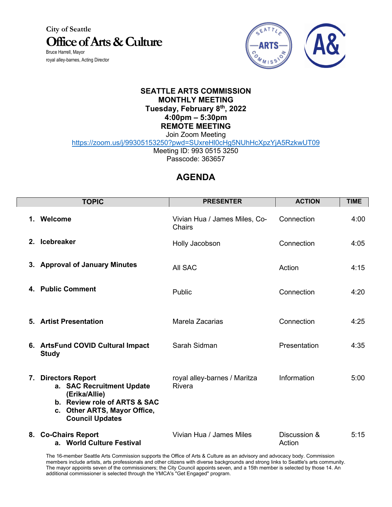**City of Seattle Office of Arts & Culture** Bruce Harrell, Mayor

royal alley-barnes, Acting Director

L



## **SEATTLE ARTS COMMISSION MONTHLY MEETING Tuesday, February 8th, 2022 4:00pm – 5:30pm REMOTE MEETING** Join Zoom Meeting

https://zoom.us/j/99305153250?pwd=SUxreHl0cHg5NUhHcXpzYjA5RzkwUT09

Meeting ID: 993 0515 3250 Passcode: 363657

## **AGENDA**

| <b>TOPIC</b>                                                                                                                                                             | <b>PRESENTER</b>                               | <b>ACTION</b>          | <b>TIME</b> |
|--------------------------------------------------------------------------------------------------------------------------------------------------------------------------|------------------------------------------------|------------------------|-------------|
| 1. Welcome                                                                                                                                                               | Vivian Hua / James Miles, Co-<br><b>Chairs</b> | Connection             | 4:00        |
| 2. Icebreaker                                                                                                                                                            | Holly Jacobson                                 | Connection             | 4:05        |
| 3. Approval of January Minutes                                                                                                                                           | All SAC                                        | Action                 | 4:15        |
| 4. Public Comment                                                                                                                                                        | Public                                         | Connection             | 4:20        |
| 5. Artist Presentation                                                                                                                                                   | Marela Zacarias                                | Connection             | 4:25        |
| 6. ArtsFund COVID Cultural Impact<br><b>Study</b>                                                                                                                        | Sarah Sidman                                   | Presentation           | 4:35        |
| <b>Directors Report</b><br>7.<br>a. SAC Recruitment Update<br>(Erika/Allie)<br>b. Review role of ARTS & SAC<br>Other ARTS, Mayor Office,<br>C.<br><b>Council Updates</b> | royal alley-barnes / Maritza<br>Rivera         | Information            | 5:00        |
| 8. Co-Chairs Report<br>a. World Culture Festival                                                                                                                         | Vivian Hua / James Miles                       | Discussion &<br>Action | 5:15        |

The 16-member Seattle Arts Commission supports the Office of Arts & Culture as an advisory and advocacy body. Commission members include artists, arts professionals and other citizens with diverse backgrounds and strong links to Seattle's arts community. The mayor appoints seven of the commissioners; the City Council appoints seven, and a 15th member is selected by those 14. An additional commissioner is selected through the YMCA's "Get Engaged" program.